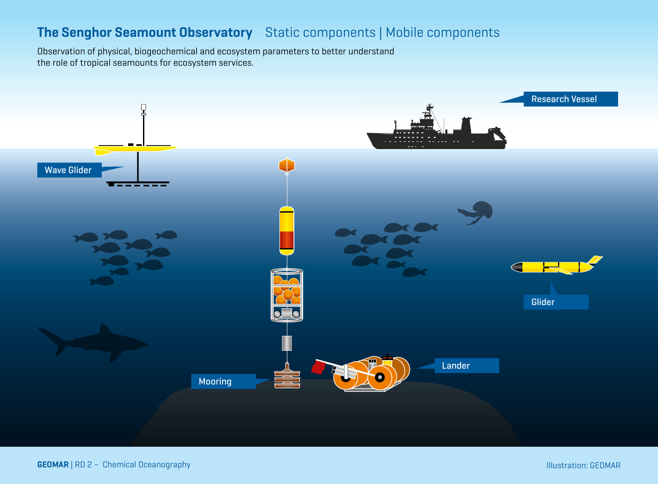<span id="page-0-0"></span>Observation of physical, biogeochemical and ecosystem parameters to better understand the role of tropical seamounts for ecosystem services.

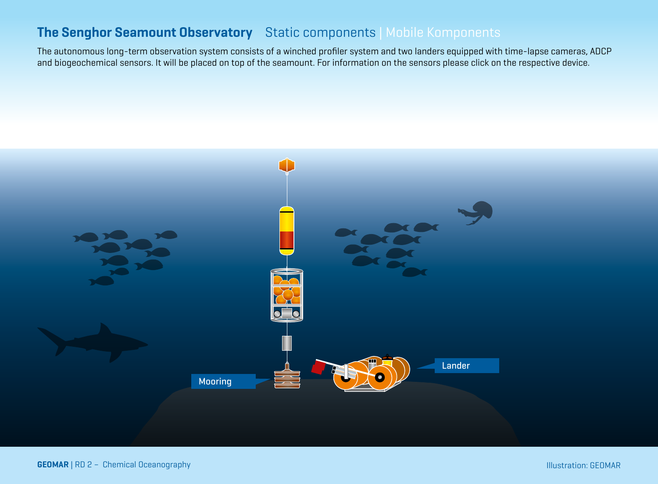<span id="page-1-0"></span>The autonomous long-term observation system consists of a winched profiler system and two landers equipped with time-lapse cameras, ADCP and biogeochemical sensors. It will be placed on top of the seamount. For information on the sensors please click on the respective device.

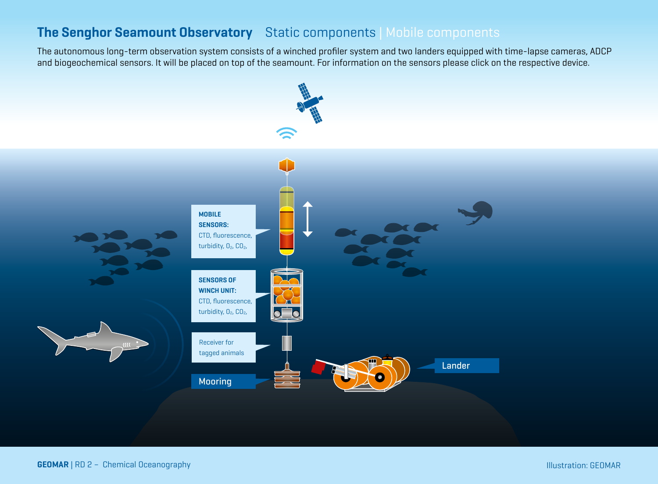<span id="page-2-0"></span>The autonomous long-term observation system consists of a winched profiler system and two landers equipped with time-lapse cameras, ADCP and biogeochemical sensors. It will be placed on top of the seamount. For information on the sensors please click on the respective device.

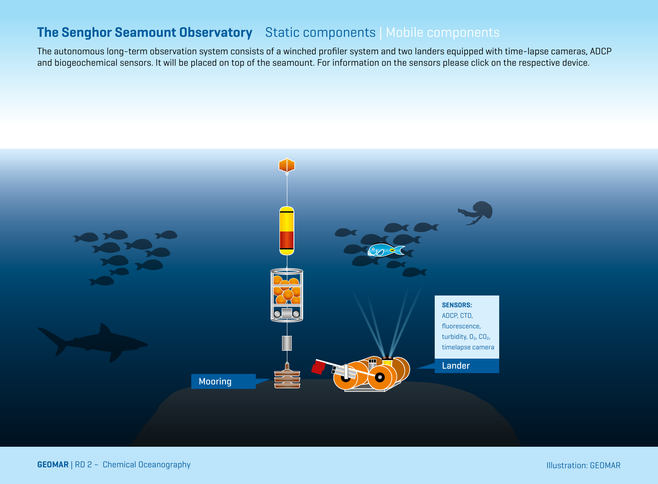<span id="page-3-0"></span>The autonomous long-term observation system consists of a winched profiler system and two landers equipped with time-lapse cameras, ADCP and biogeochemical sensors. It will be placed on top of the seamount. For information on the sensors please click on the respective device.

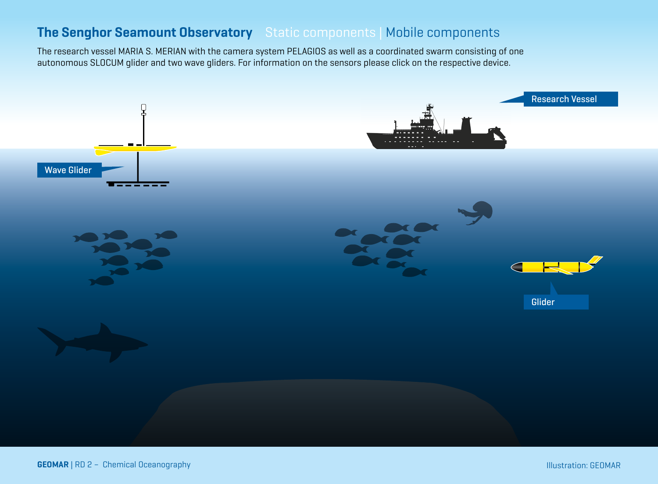<span id="page-4-0"></span>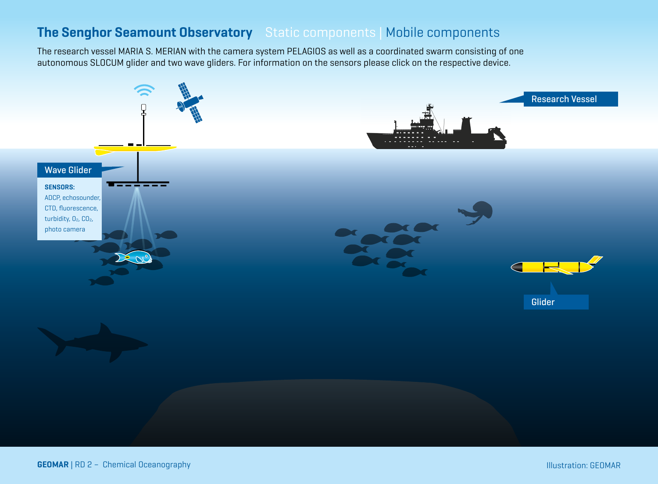<span id="page-5-0"></span>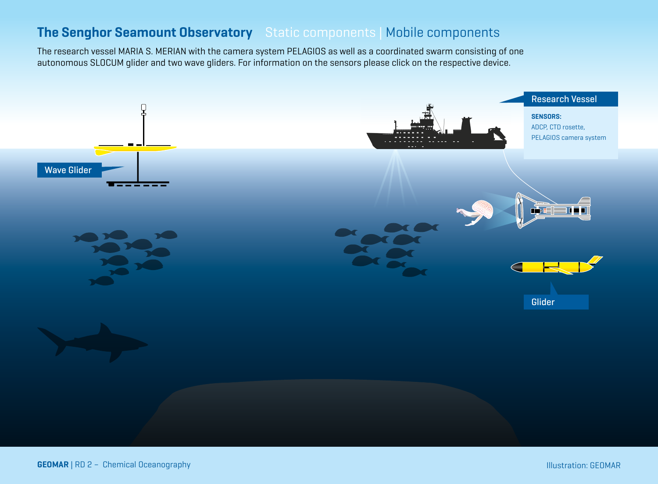<span id="page-6-0"></span>